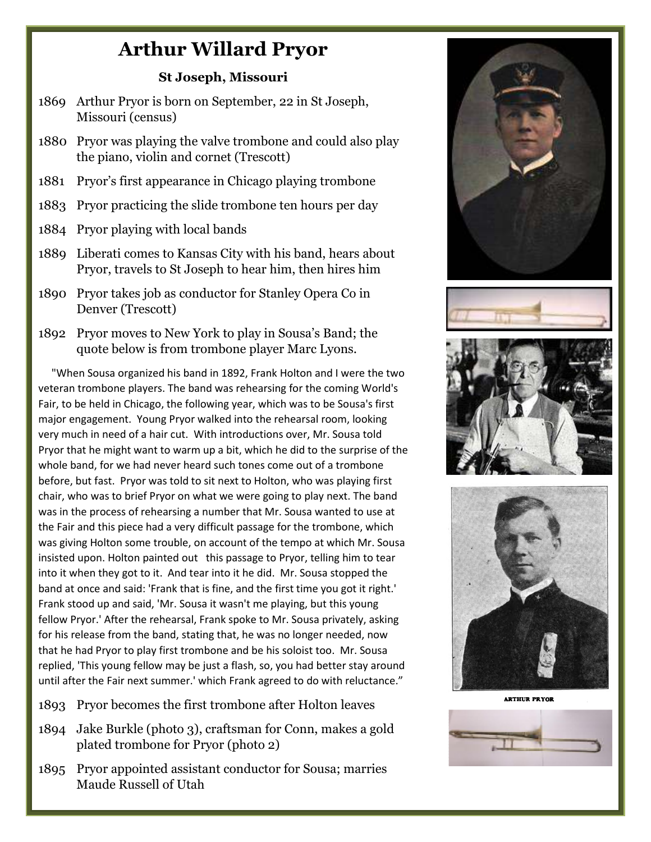## **Arthur Willard Pryor**

## **St Joseph, Missouri**

- 1869 Arthur Pryor is born on September, 22 in St Joseph, Missouri (census)
- 1880 Pryor was playing the valve trombone and could also play the piano, violin and cornet (Trescott)
- 1881 Pryor's first appearance in Chicago playing trombone
- 1883 Pryor practicing the slide trombone ten hours per day
- 1884 Pryor playing with local bands
- 1889 Liberati comes to Kansas City with his band, hears about Pryor, travels to St Joseph to hear him, then hires him
- 1890 Pryor takes job as conductor for Stanley Opera Co in Denver (Trescott)
- 1892 Pryor moves to New York to play in Sousa's Band; the quote below is from trombone player Marc Lyons.

 "When Sousa organized his band in 1892, Frank Holton and I were the two veteran trombone players. The band was rehearsing for the coming World's Fair, to be held in Chicago, the following year, which was to be Sousa's first major engagement. Young Pryor walked into the rehearsal room, looking very much in need of a hair cut. With introductions over, Mr. Sousa told Pryor that he might want to warm up a bit, which he did to the surprise of the whole band, for we had never heard such tones come out of a trombone before, but fast. Pryor was told to sit next to Holton, who was playing first chair, who was to brief Pryor on what we were going to play next. The band was in the process of rehearsing a number that Mr. Sousa wanted to use at the Fair and this piece had a very difficult passage for the trombone, which was giving Holton some trouble, on account of the tempo at which Mr. Sousa insisted upon. Holton painted out this passage to Pryor, telling him to tear into it when they got to it. And tear into it he did. Mr. Sousa stopped the band at once and said: 'Frank that is fine, and the first time you got it right.' Frank stood up and said, 'Mr. Sousa it wasn't me playing, but this young fellow Pryor.' After the rehearsal, Frank spoke to Mr. Sousa privately, asking for his release from the band, stating that, he was no longer needed, now that he had Pryor to play first trombone and be his soloist too. Mr. Sousa replied, 'This young fellow may be just a flash, so, you had better stay around until after the Fair next summer.' which Frank agreed to do with reluctance."

- 1893 Pryor becomes the first trombone after Holton leaves
- 1894 Jake Burkle (photo 3), craftsman for Conn, makes a gold plated trombone for Pryor (photo 2)
- 1895 Pryor appointed assistant conductor for Sousa; marries Maude Russell of Utah





**ARTHUR PRYOR**